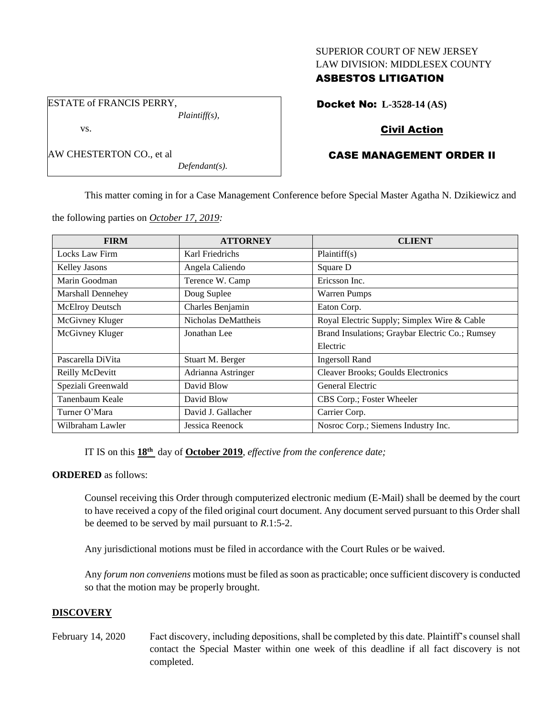### SUPERIOR COURT OF NEW JERSEY LAW DIVISION: MIDDLESEX COUNTY

## ASBESTOS LITIGATION

Docket No: **L-3528-14 (AS)**

## Civil Action

# CASE MANAGEMENT ORDER II

This matter coming in for a Case Management Conference before Special Master Agatha N. Dzikiewicz and

the following parties on *October 17, 2019:*

| <b>FIRM</b>              | <b>ATTORNEY</b>     | <b>CLIENT</b>                                   |
|--------------------------|---------------------|-------------------------------------------------|
| Locks Law Firm           | Karl Friedrichs     | Plaintiff(s)                                    |
| Kelley Jasons            | Angela Caliendo     | Square D                                        |
| Marin Goodman            | Terence W. Camp     | Ericsson Inc.                                   |
| <b>Marshall Dennehey</b> | Doug Suplee         | <b>Warren Pumps</b>                             |
| McElroy Deutsch          | Charles Benjamin    | Eaton Corp.                                     |
| McGivney Kluger          | Nicholas DeMattheis | Royal Electric Supply; Simplex Wire & Cable     |
| McGivney Kluger          | Jonathan Lee        | Brand Insulations; Graybar Electric Co.; Rumsey |
|                          |                     | Electric                                        |
| Pascarella DiVita        | Stuart M. Berger    | <b>Ingersoll Rand</b>                           |
| Reilly McDevitt          | Adrianna Astringer  | Cleaver Brooks; Goulds Electronics              |
| Speziali Greenwald       | David Blow          | General Electric                                |
| Tanenbaum Keale          | David Blow          | CBS Corp.; Foster Wheeler                       |
| Turner O'Mara            | David J. Gallacher  | Carrier Corp.                                   |
| Wilbraham Lawler         | Jessica Reenock     | Nosroc Corp.; Siemens Industry Inc.             |

IT IS on this **18th** day of **October 2019**, *effective from the conference date;*

### **ORDERED** as follows:

Counsel receiving this Order through computerized electronic medium (E-Mail) shall be deemed by the court to have received a copy of the filed original court document. Any document served pursuant to this Order shall be deemed to be served by mail pursuant to *R*.1:5-2.

Any jurisdictional motions must be filed in accordance with the Court Rules or be waived.

Any *forum non conveniens* motions must be filed as soon as practicable; once sufficient discovery is conducted so that the motion may be properly brought.

## **DISCOVERY**

February 14, 2020 Fact discovery, including depositions, shall be completed by this date. Plaintiff's counsel shall contact the Special Master within one week of this deadline if all fact discovery is not completed.

ESTATE of FRANCIS PERRY, *Plaintiff(s),*

*Defendant(s).*

vs.

AW CHESTERTON CO., et al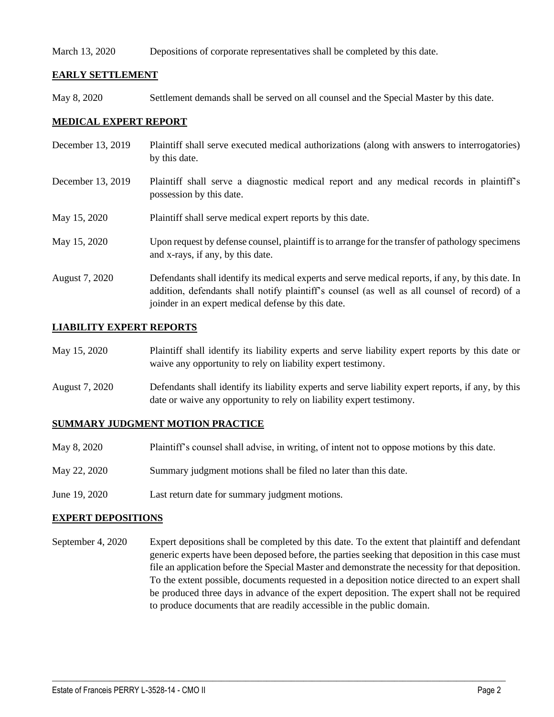### March 13, 2020 Depositions of corporate representatives shall be completed by this date.

## **EARLY SETTLEMENT**

May 8, 2020 Settlement demands shall be served on all counsel and the Special Master by this date.

### **MEDICAL EXPERT REPORT**

- December 13, 2019 Plaintiff shall serve executed medical authorizations (along with answers to interrogatories) by this date.
- December 13, 2019 Plaintiff shall serve a diagnostic medical report and any medical records in plaintiff's possession by this date.
- May 15, 2020 Plaintiff shall serve medical expert reports by this date.
- May 15, 2020 Upon request by defense counsel, plaintiff is to arrange for the transfer of pathology specimens and x-rays, if any, by this date.
- August 7, 2020 Defendants shall identify its medical experts and serve medical reports, if any, by this date. In addition, defendants shall notify plaintiff's counsel (as well as all counsel of record) of a joinder in an expert medical defense by this date.

### **LIABILITY EXPERT REPORTS**

| May 15, 2020 | Plaintiff shall identify its liability experts and serve liability expert reports by this date or |
|--------------|---------------------------------------------------------------------------------------------------|
|              | waive any opportunity to rely on liability expert testimony.                                      |

August 7, 2020 Defendants shall identify its liability experts and serve liability expert reports, if any, by this date or waive any opportunity to rely on liability expert testimony.

### **SUMMARY JUDGMENT MOTION PRACTICE**

- May 8, 2020 Plaintiff's counsel shall advise, in writing, of intent not to oppose motions by this date.
- May 22, 2020 Summary judgment motions shall be filed no later than this date.
- June 19, 2020 Last return date for summary judgment motions.

### **EXPERT DEPOSITIONS**

September 4, 2020 Expert depositions shall be completed by this date. To the extent that plaintiff and defendant generic experts have been deposed before, the parties seeking that deposition in this case must file an application before the Special Master and demonstrate the necessity for that deposition. To the extent possible, documents requested in a deposition notice directed to an expert shall be produced three days in advance of the expert deposition. The expert shall not be required to produce documents that are readily accessible in the public domain.

 $\_$  , and the set of the set of the set of the set of the set of the set of the set of the set of the set of the set of the set of the set of the set of the set of the set of the set of the set of the set of the set of th